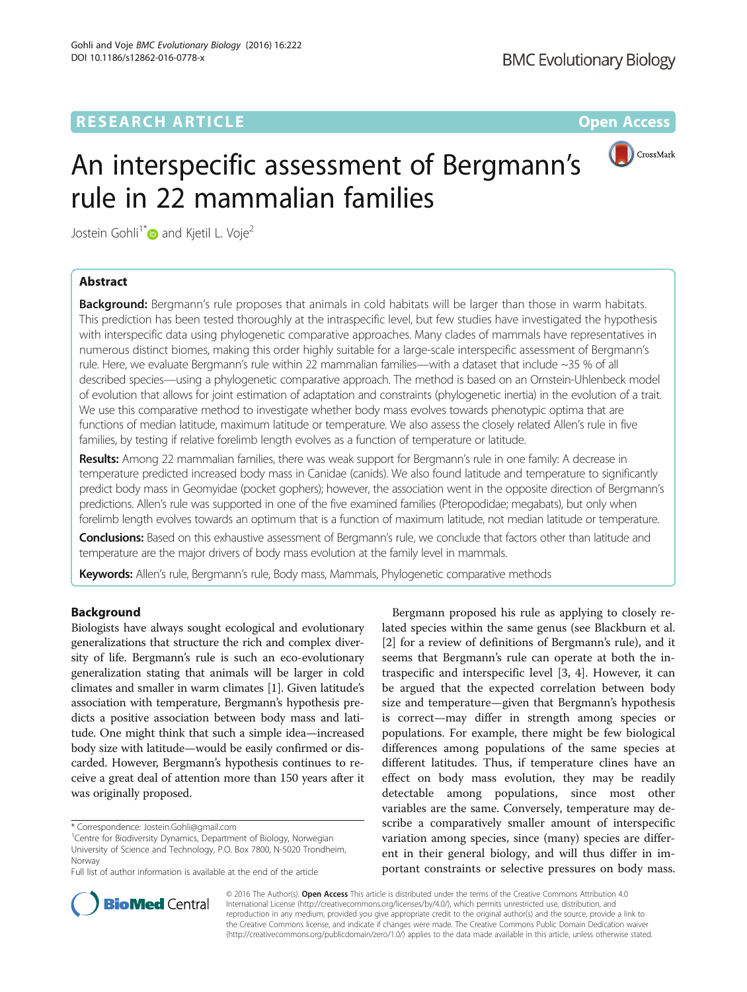## **RESEARCH ARTICLE External Structure Community Community Community Community Community Community Community Community**



# An interspecific assessment of Bergmann's rule in 22 mammalian families

Jostein Gohli<sup>1[\\*](http://orcid.org/0000-0002-7273-1860)</sup> and Kjetil L. Voje<sup>2</sup>

## Abstract

**Background:** Bergmann's rule proposes that animals in cold habitats will be larger than those in warm habitats. This prediction has been tested thoroughly at the intraspecific level, but few studies have investigated the hypothesis with interspecific data using phylogenetic comparative approaches. Many clades of mammals have representatives in numerous distinct biomes, making this order highly suitable for a large-scale interspecific assessment of Bergmann's rule. Here, we evaluate Bergmann's rule within 22 mammalian families—with a dataset that include ~35 % of all described species—using a phylogenetic comparative approach. The method is based on an Ornstein-Uhlenbeck model of evolution that allows for joint estimation of adaptation and constraints (phylogenetic inertia) in the evolution of a trait. We use this comparative method to investigate whether body mass evolves towards phenotypic optima that are functions of median latitude, maximum latitude or temperature. We also assess the closely related Allen's rule in five families, by testing if relative forelimb length evolves as a function of temperature or latitude.

Results: Among 22 mammalian families, there was weak support for Bergmann's rule in one family: A decrease in temperature predicted increased body mass in Canidae (canids). We also found latitude and temperature to significantly predict body mass in Geomyidae (pocket gophers); however, the association went in the opposite direction of Bergmann's predictions. Allen's rule was supported in one of the five examined families (Pteropodidae; megabats), but only when forelimb length evolves towards an optimum that is a function of maximum latitude, not median latitude or temperature.

Conclusions: Based on this exhaustive assessment of Bergmann's rule, we conclude that factors other than latitude and temperature are the major drivers of body mass evolution at the family level in mammals.

Keywords: Allen's rule, Bergmann's rule, Body mass, Mammals, Phylogenetic comparative methods

## Background

Biologists have always sought ecological and evolutionary generalizations that structure the rich and complex diversity of life. Bergmann's rule is such an eco-evolutionary generalization stating that animals will be larger in cold climates and smaller in warm climates [\[1](#page-10-0)]. Given latitude's association with temperature, Bergmann's hypothesis predicts a positive association between body mass and latitude. One might think that such a simple idea—increased body size with latitude—would be easily confirmed or discarded. However, Bergmann's hypothesis continues to receive a great deal of attention more than 150 years after it was originally proposed.

Bergmann proposed his rule as applying to closely related species within the same genus (see Blackburn et al. [[2\]](#page-10-0) for a review of definitions of Bergmann's rule), and it seems that Bergmann's rule can operate at both the intraspecific and interspecific level [[3, 4\]](#page-10-0). However, it can be argued that the expected correlation between body size and temperature—given that Bergmann's hypothesis is correct—may differ in strength among species or populations. For example, there might be few biological differences among populations of the same species at different latitudes. Thus, if temperature clines have an effect on body mass evolution, they may be readily detectable among populations, since most other variables are the same. Conversely, temperature may describe a comparatively smaller amount of interspecific variation among species, since (many) species are different in their general biology, and will thus differ in important constraints or selective pressures on body mass.



© 2016 The Author(s). Open Access This article is distributed under the terms of the Creative Commons Attribution 4.0 International License [\(http://creativecommons.org/licenses/by/4.0/](http://creativecommons.org/licenses/by/4.0/)), which permits unrestricted use, distribution, and reproduction in any medium, provided you give appropriate credit to the original author(s) and the source, provide a link to the Creative Commons license, and indicate if changes were made. The Creative Commons Public Domain Dedication waiver [\(http://creativecommons.org/publicdomain/zero/1.0/](http://creativecommons.org/publicdomain/zero/1.0/)) applies to the data made available in this article, unless otherwise stated.

<sup>\*</sup> Correspondence: [Jostein.Gohli@gmail.com](mailto:Jostein.Gohli@gmail.com) <sup>1</sup>

<sup>&</sup>lt;sup>1</sup> Centre for Biodiversity Dynamics, Department of Biology, Norwegian University of Science and Technology, P.O. Box 7800, N-5020 Trondheim, Norway

Full list of author information is available at the end of the article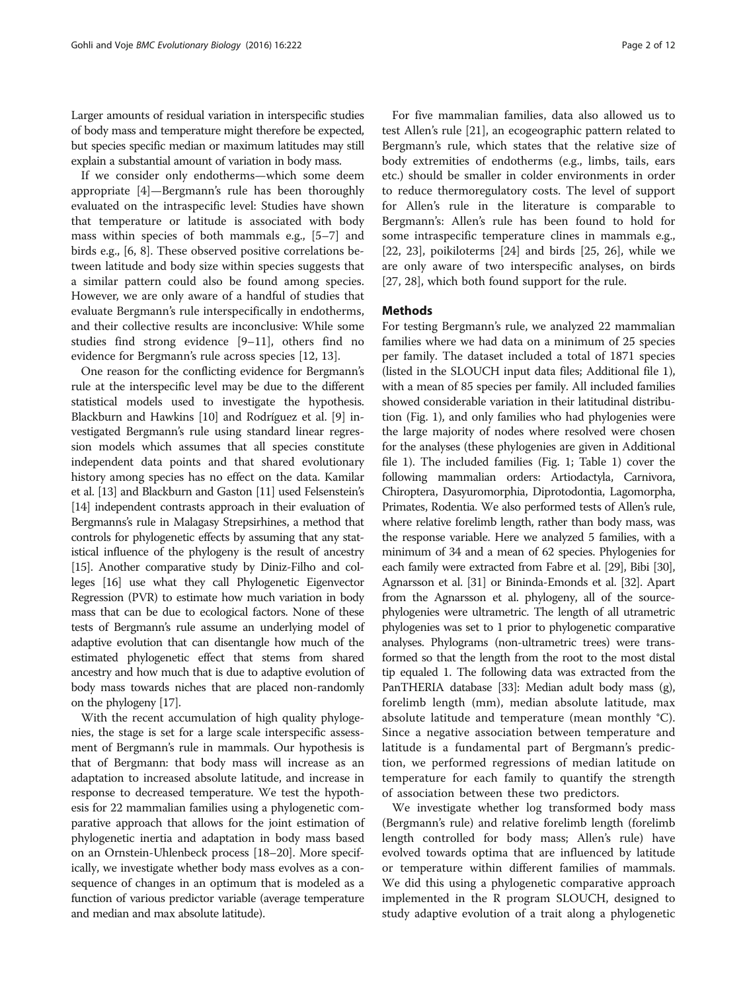Larger amounts of residual variation in interspecific studies of body mass and temperature might therefore be expected, but species specific median or maximum latitudes may still explain a substantial amount of variation in body mass.

If we consider only endotherms—which some deem appropriate [\[4\]](#page-10-0)—Bergmann's rule has been thoroughly evaluated on the intraspecific level: Studies have shown that temperature or latitude is associated with body mass within species of both mammals e.g., [[5](#page-10-0)–[7](#page-10-0)] and birds e.g., [[6, 8\]](#page-10-0). These observed positive correlations between latitude and body size within species suggests that a similar pattern could also be found among species. However, we are only aware of a handful of studies that evaluate Bergmann's rule interspecifically in endotherms, and their collective results are inconclusive: While some studies find strong evidence [\[9](#page-11-0)–[11\]](#page-11-0), others find no evidence for Bergmann's rule across species [\[12](#page-11-0), [13](#page-11-0)].

One reason for the conflicting evidence for Bergmann's rule at the interspecific level may be due to the different statistical models used to investigate the hypothesis. Blackburn and Hawkins [\[10](#page-11-0)] and Rodríguez et al. [[9](#page-11-0)] investigated Bergmann's rule using standard linear regression models which assumes that all species constitute independent data points and that shared evolutionary history among species has no effect on the data. Kamilar et al. [\[13](#page-11-0)] and Blackburn and Gaston [\[11](#page-11-0)] used Felsenstein's [[14](#page-11-0)] independent contrasts approach in their evaluation of Bergmanns's rule in Malagasy Strepsirhines, a method that controls for phylogenetic effects by assuming that any statistical influence of the phylogeny is the result of ancestry [[15](#page-11-0)]. Another comparative study by Diniz-Filho and colleges [[16](#page-11-0)] use what they call Phylogenetic Eigenvector Regression (PVR) to estimate how much variation in body mass that can be due to ecological factors. None of these tests of Bergmann's rule assume an underlying model of adaptive evolution that can disentangle how much of the estimated phylogenetic effect that stems from shared ancestry and how much that is due to adaptive evolution of body mass towards niches that are placed non-randomly on the phylogeny [\[17](#page-11-0)].

With the recent accumulation of high quality phylogenies, the stage is set for a large scale interspecific assessment of Bergmann's rule in mammals. Our hypothesis is that of Bergmann: that body mass will increase as an adaptation to increased absolute latitude, and increase in response to decreased temperature. We test the hypothesis for 22 mammalian families using a phylogenetic comparative approach that allows for the joint estimation of phylogenetic inertia and adaptation in body mass based on an Ornstein-Uhlenbeck process [\[18](#page-11-0)–[20](#page-11-0)]. More specifically, we investigate whether body mass evolves as a consequence of changes in an optimum that is modeled as a function of various predictor variable (average temperature and median and max absolute latitude).

For five mammalian families, data also allowed us to test Allen's rule [\[21](#page-11-0)], an ecogeographic pattern related to Bergmann's rule, which states that the relative size of body extremities of endotherms (e.g., limbs, tails, ears etc.) should be smaller in colder environments in order to reduce thermoregulatory costs. The level of support for Allen's rule in the literature is comparable to Bergmann's: Allen's rule has been found to hold for some intraspecific temperature clines in mammals e.g.,  $[22, 23]$  $[22, 23]$ , poikiloterms  $[24]$  $[24]$  and birds  $[25, 26]$  $[25, 26]$ , while we are only aware of two interspecific analyses, on birds [[27, 28\]](#page-11-0), which both found support for the rule.

## Methods

For testing Bergmann's rule, we analyzed 22 mammalian families where we had data on a minimum of 25 species per family. The dataset included a total of 1871 species (listed in the SLOUCH input data files; Additional file [1](#page-10-0)), with a mean of 85 species per family. All included families showed considerable variation in their latitudinal distribution (Fig. [1\)](#page-2-0), and only families who had phylogenies were the large majority of nodes where resolved were chosen for the analyses (these phylogenies are given in Additional file [1\)](#page-10-0). The included families (Fig. [1](#page-2-0); Table [1\)](#page-3-0) cover the following mammalian orders: Artiodactyla, Carnivora, Chiroptera, Dasyuromorphia, Diprotodontia, Lagomorpha, Primates, Rodentia. We also performed tests of Allen's rule, where relative forelimb length, rather than body mass, was the response variable. Here we analyzed 5 families, with a minimum of 34 and a mean of 62 species. Phylogenies for each family were extracted from Fabre et al. [\[29\]](#page-11-0), Bibi [\[30](#page-11-0)], Agnarsson et al. [\[31\]](#page-11-0) or Bininda-Emonds et al. [\[32](#page-11-0)]. Apart from the Agnarsson et al. phylogeny, all of the sourcephylogenies were ultrametric. The length of all utrametric phylogenies was set to 1 prior to phylogenetic comparative analyses. Phylograms (non-ultrametric trees) were transformed so that the length from the root to the most distal tip equaled 1. The following data was extracted from the PanTHERIA database [\[33](#page-11-0)]: Median adult body mass (g), forelimb length (mm), median absolute latitude, max absolute latitude and temperature (mean monthly °C). Since a negative association between temperature and latitude is a fundamental part of Bergmann's prediction, we performed regressions of median latitude on temperature for each family to quantify the strength of association between these two predictors.

We investigate whether log transformed body mass (Bergmann's rule) and relative forelimb length (forelimb length controlled for body mass; Allen's rule) have evolved towards optima that are influenced by latitude or temperature within different families of mammals. We did this using a phylogenetic comparative approach implemented in the R program SLOUCH, designed to study adaptive evolution of a trait along a phylogenetic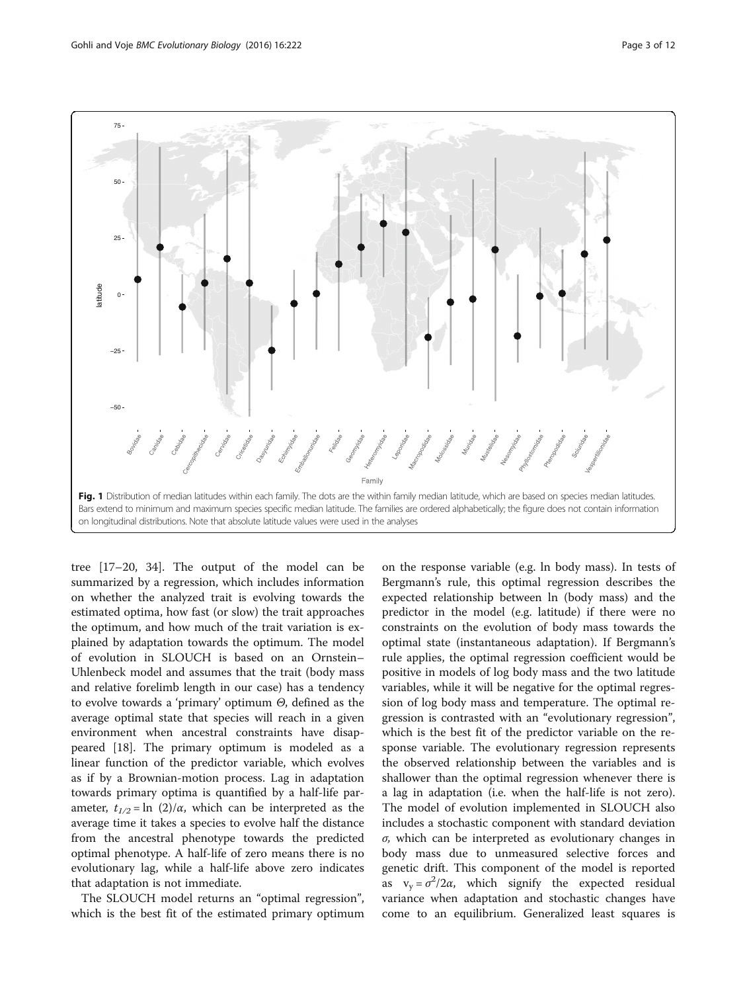<span id="page-2-0"></span>

tree [\[17](#page-11-0)–[20, 34](#page-11-0)]. The output of the model can be summarized by a regression, which includes information on whether the analyzed trait is evolving towards the estimated optima, how fast (or slow) the trait approaches the optimum, and how much of the trait variation is explained by adaptation towards the optimum. The model of evolution in SLOUCH is based on an Ornstein– Uhlenbeck model and assumes that the trait (body mass and relative forelimb length in our case) has a tendency to evolve towards a 'primary' optimum Θ, defined as the average optimal state that species will reach in a given environment when ancestral constraints have disappeared [\[18](#page-11-0)]. The primary optimum is modeled as a linear function of the predictor variable, which evolves as if by a Brownian-motion process. Lag in adaptation towards primary optima is quantified by a half-life parameter,  $t_{1/2}$  = ln (2)/ $\alpha$ , which can be interpreted as the average time it takes a species to evolve half the distance from the ancestral phenotype towards the predicted optimal phenotype. A half-life of zero means there is no evolutionary lag, while a half-life above zero indicates that adaptation is not immediate.

The SLOUCH model returns an "optimal regression", which is the best fit of the estimated primary optimum

on the response variable (e.g. ln body mass). In tests of Bergmann's rule, this optimal regression describes the expected relationship between ln (body mass) and the predictor in the model (e.g. latitude) if there were no constraints on the evolution of body mass towards the optimal state (instantaneous adaptation). If Bergmann's rule applies, the optimal regression coefficient would be positive in models of log body mass and the two latitude variables, while it will be negative for the optimal regression of log body mass and temperature. The optimal regression is contrasted with an "evolutionary regression", which is the best fit of the predictor variable on the response variable. The evolutionary regression represents the observed relationship between the variables and is shallower than the optimal regression whenever there is a lag in adaptation (i.e. when the half-life is not zero). The model of evolution implemented in SLOUCH also includes a stochastic component with standard deviation σ, which can be interpreted as evolutionary changes in body mass due to unmeasured selective forces and genetic drift. This component of the model is reported as  $v_y = \sigma^2/2\alpha$ , which signify the expected residual variance when adaptation and stochastic changes have come to an equilibrium. Generalized least squares is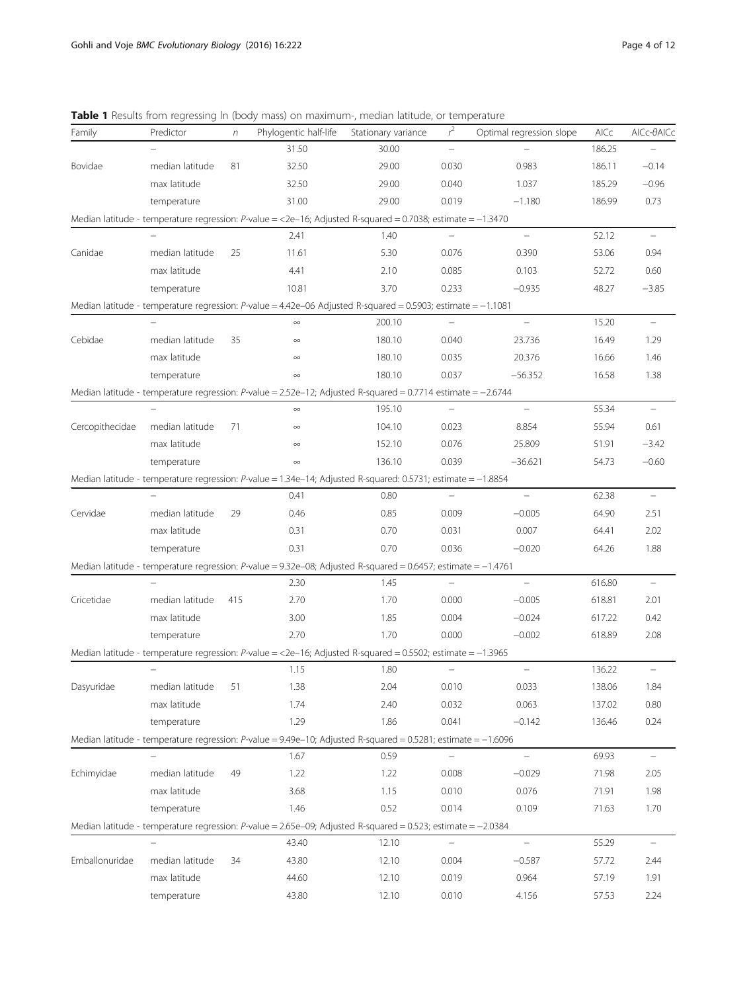<span id="page-3-0"></span>Table 1 Results from regressing In (body mass) on maximum-, median latitude, or temperature

| Family          | Predictor       | $\sqrt{n}$ | Phylogentic half-life                                                                                            | Stationary variance | $r^2$                    | Optimal regression slope | AICc   | $AICc-\thetaAICc$        |
|-----------------|-----------------|------------|------------------------------------------------------------------------------------------------------------------|---------------------|--------------------------|--------------------------|--------|--------------------------|
|                 |                 |            | 31.50                                                                                                            | 30.00               |                          |                          | 186.25 |                          |
| Bovidae         | median latitude | 81         | 32.50                                                                                                            | 29.00               | 0.030                    | 0.983                    | 186.11 | $-0.14$                  |
|                 | max latitude    |            | 32.50                                                                                                            | 29.00               | 0.040                    | 1.037                    | 185.29 | $-0.96$                  |
|                 | temperature     |            | 31.00                                                                                                            | 29.00               | 0.019                    | $-1.180$                 | 186.99 | 0.73                     |
|                 |                 |            | Median latitude - temperature regression: $P$ -value = <2e-16; Adjusted R-squared = 0.7038; estimate = -1.3470   |                     |                          |                          |        |                          |
|                 |                 |            | 2.41                                                                                                             | 1.40                |                          | $\qquad \qquad -$        | 52.12  | $\overline{\phantom{m}}$ |
| Canidae         | median latitude | 25         | 11.61                                                                                                            | 5.30                | 0.076                    | 0.390                    | 53.06  | 0.94                     |
|                 | max latitude    |            | 4.41                                                                                                             | 2.10                | 0.085                    | 0.103                    | 52.72  | 0.60                     |
|                 | temperature     |            | 10.81                                                                                                            | 3.70                | 0.233                    | $-0.935$                 | 48.27  | $-3.85$                  |
|                 |                 |            | Median latitude - temperature regression: P-value = 4.42e-06 Adjusted R-squared = 0.5903; estimate = -1.1081     |                     |                          |                          |        |                          |
|                 |                 |            | $\infty$                                                                                                         | 200.10              | $\overline{\phantom{0}}$ |                          | 15.20  | $\overline{\phantom{m}}$ |
| Cebidae         | median latitude | 35         | $\infty$                                                                                                         | 180.10              | 0.040                    | 23.736                   | 16.49  | 1.29                     |
|                 | max latitude    |            | $\infty$                                                                                                         | 180.10              | 0.035                    | 20.376                   | 16.66  | 1.46                     |
|                 | temperature     |            | $\infty$                                                                                                         | 180.10              | 0.037                    | $-56.352$                | 16.58  | 1.38                     |
|                 |                 |            | Median latitude - temperature regression: P-value = 2.52e-12; Adjusted R-squared = 0.7714 estimate = -2.6744     |                     |                          |                          |        |                          |
|                 |                 |            | $\infty$                                                                                                         | 195.10              | $\overline{\phantom{m}}$ | $\overline{\phantom{0}}$ | 55.34  | $\equiv$                 |
| Cercopithecidae | median latitude | 71         | $\infty$                                                                                                         | 104.10              | 0.023                    | 8.854                    | 55.94  | 0.61                     |
|                 | max latitude    |            | $\infty$                                                                                                         | 152.10              | 0.076                    | 25.809                   | 51.91  | $-3.42$                  |
|                 | temperature     |            | $\infty$                                                                                                         | 136.10              | 0.039                    | $-36.621$                | 54.73  | $-0.60$                  |
|                 |                 |            | Median latitude - temperature regression: P-value = 1.34e-14; Adjusted R-squared: 0.5731; estimate = -1.8854     |                     |                          |                          |        |                          |
|                 |                 |            | 0.41                                                                                                             | 0.80                |                          |                          | 62.38  |                          |
| Cervidae        | median latitude | 29         | 0.46                                                                                                             | 0.85                | 0.009                    | $-0.005$                 | 64.90  | 2.51                     |
|                 | max latitude    |            | 0.31                                                                                                             | 0.70                | 0.031                    | 0.007                    | 64.41  | 2.02                     |
|                 | temperature     |            | 0.31                                                                                                             | 0.70                | 0.036                    | $-0.020$                 | 64.26  | 1.88                     |
|                 |                 |            | Median latitude - temperature regression: $P$ -value = 9.32e-08; Adjusted R-squared = 0.6457; estimate = -1.4761 |                     |                          |                          |        |                          |
|                 |                 |            | 2.30                                                                                                             | 1.45                |                          | $\overline{\phantom{0}}$ | 616.80 | $\equiv$                 |
| Cricetidae      | median latitude | 415        | 2.70                                                                                                             | 1.70                | 0.000                    | $-0.005$                 | 618.81 | 2.01                     |
|                 | max latitude    |            | 3.00                                                                                                             | 1.85                | 0.004                    | $-0.024$                 | 617.22 | 0.42                     |
|                 | temperature     |            | 2.70                                                                                                             | 1.70                | 0.000                    | $-0.002$                 | 618.89 | 2.08                     |
|                 |                 |            | Median latitude - temperature regression: P-value = <2e-16; Adjusted R-squared = 0.5502; estimate = -1.3965      |                     |                          |                          |        |                          |
|                 |                 |            | 1.15                                                                                                             | 1.80                | $\overline{\phantom{0}}$ |                          | 136.22 |                          |
| Dasyuridae      | median latitude | -51        | 1.38                                                                                                             | 2.04                | 0.010                    | 0.033                    | 138.06 | 1.84                     |
|                 | max latitude    |            | 1.74                                                                                                             | 2.40                | 0.032                    | 0.063                    | 137.02 | 0.80                     |
|                 | temperature     |            | 1.29                                                                                                             | 1.86                | 0.041                    | $-0.142$                 | 136.46 | 0.24                     |
|                 |                 |            | Median latitude - temperature regression: $P$ -value = 9.49e-10; Adjusted R-squared = 0.5281; estimate = -1.6096 |                     |                          |                          |        |                          |
|                 |                 |            | 1.67                                                                                                             | 0.59                | $\qquad \qquad -$        | $\qquad \qquad -$        | 69.93  | $\overline{\phantom{0}}$ |
| Echimyidae      | median latitude | 49         | 1.22                                                                                                             | 1.22                | 0.008                    | $-0.029$                 | 71.98  | 2.05                     |
|                 | max latitude    |            | 3.68                                                                                                             | 1.15                | 0.010                    | 0.076                    | 71.91  | 1.98                     |
|                 | temperature     |            | 1.46                                                                                                             | 0.52                | 0.014                    | 0.109                    | 71.63  | 1.70                     |
|                 |                 |            | Median latitude - temperature regression: P-value = 2.65e-09; Adjusted R-squared = 0.523; estimate = $-2.0384$   |                     |                          |                          |        |                          |
|                 |                 |            | 43.40                                                                                                            | 12.10               | $\qquad \qquad -$        | $\qquad \qquad -$        | 55.29  | $\overline{\phantom{m}}$ |
| Emballonuridae  | median latitude | 34         | 43.80                                                                                                            | 12.10               | 0.004                    | $-0.587$                 | 57.72  | 2.44                     |
|                 | max latitude    |            | 44.60                                                                                                            | 12.10               | 0.019                    | 0.964                    | 57.19  | 1.91                     |
|                 | temperature     |            | 43.80                                                                                                            | 12.10               | 0.010                    | 4.156                    | 57.53  | 2.24                     |
|                 |                 |            |                                                                                                                  |                     |                          |                          |        |                          |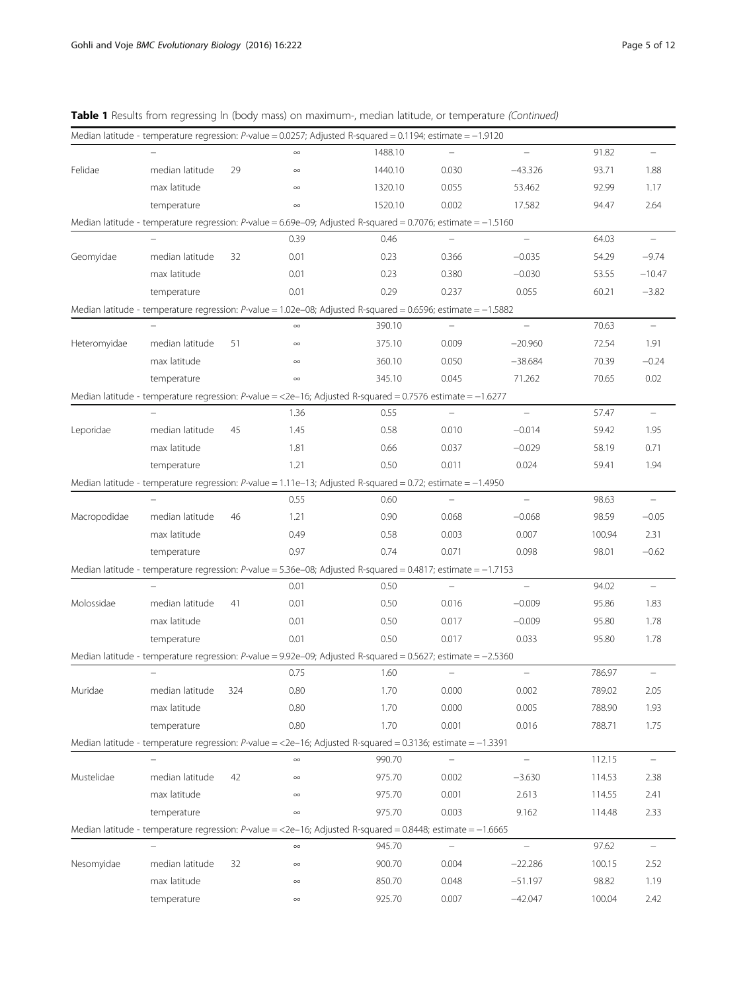## Table 1 Results from regressing In (body mass) on maximum-, median latitude, or temperature (Continued)

|              |                 |     |          | Median latitude - temperature regression: P-value = 0.0257; Adjusted R-squared = 0.1194; estimate = $-1.9120$      |                          |                          |        |                   |
|--------------|-----------------|-----|----------|--------------------------------------------------------------------------------------------------------------------|--------------------------|--------------------------|--------|-------------------|
|              |                 |     | $\infty$ | 1488.10                                                                                                            |                          | $\overline{\phantom{0}}$ | 91.82  |                   |
| Felidae      | median latitude | 29  | $\infty$ | 1440.10                                                                                                            | 0.030                    | $-43.326$                | 93.71  | 1.88              |
|              | max latitude    |     | $\infty$ | 1320.10                                                                                                            | 0.055                    | 53.462                   | 92.99  | 1.17              |
|              | temperature     |     | $\infty$ | 1520.10                                                                                                            | 0.002                    | 17.582                   | 94.47  | 2.64              |
|              |                 |     |          | Median latitude - temperature regression: $P$ -value = 6.69e-09; Adjusted R-squared = 0.7076; estimate = $-1.5160$ |                          |                          |        |                   |
|              |                 |     | 0.39     | 0.46                                                                                                               |                          |                          | 64.03  |                   |
| Geomyidae    | median latitude | 32  | 0.01     | 0.23                                                                                                               | 0.366                    | $-0.035$                 | 54.29  | $-9.74$           |
|              | max latitude    |     | 0.01     | 0.23                                                                                                               | 0.380                    | $-0.030$                 | 53.55  | $-10.47$          |
|              | temperature     |     | 0.01     | 0.29                                                                                                               | 0.237                    | 0.055                    | 60.21  | $-3.82$           |
|              |                 |     |          | Median latitude - temperature regression: P-value = 1.02e-08; Adjusted R-squared = 0.6596; estimate = -1.5882      |                          |                          |        |                   |
|              |                 |     | $\infty$ | 390.10                                                                                                             | $\overline{\phantom{0}}$ | $\overline{\phantom{0}}$ | 70.63  | $\qquad \qquad -$ |
| Heteromyidae | median latitude | 51  | $\infty$ | 375.10                                                                                                             | 0.009                    | $-20.960$                | 72.54  | 1.91              |
|              | max latitude    |     | $\infty$ | 360.10                                                                                                             | 0.050                    | $-38.684$                | 70.39  | $-0.24$           |
|              | temperature     |     | $\infty$ | 345.10                                                                                                             | 0.045                    | 71.262                   | 70.65  | 0.02              |
|              |                 |     |          | Median latitude - temperature regression: $P$ -value = <2e-16; Adjusted R-squared = 0.7576 estimate = -1.6277      |                          |                          |        |                   |
|              |                 |     | 1.36     | 0.55                                                                                                               | $\overline{\phantom{0}}$ | $\overline{\phantom{m}}$ | 57.47  |                   |
| Leporidae    | median latitude | 45  | 1.45     | 0.58                                                                                                               | 0.010                    | $-0.014$                 | 59.42  | 1.95              |
|              | max latitude    |     | 1.81     | 0.66                                                                                                               | 0.037                    | $-0.029$                 | 58.19  | 0.71              |
|              | temperature     |     | 1.21     | 0.50                                                                                                               | 0.011                    | 0.024                    | 59.41  | 1.94              |
|              |                 |     |          | Median latitude - temperature regression: $P$ -value = 1.11e-13; Adjusted R-squared = 0.72; estimate = -1.4950     |                          |                          |        |                   |
|              |                 |     | 0.55     | 0.60                                                                                                               |                          | $-$                      | 98.63  |                   |
| Macropodidae | median latitude | 46  | 1.21     | 0.90                                                                                                               | 0.068                    | $-0.068$                 | 98.59  | $-0.05$           |
|              | max latitude    |     | 0.49     | 0.58                                                                                                               | 0.003                    | 0.007                    | 100.94 | 2.31              |
|              | temperature     |     | 0.97     | 0.74                                                                                                               | 0.071                    | 0.098                    | 98.01  | $-0.62$           |
|              |                 |     |          | Median latitude - temperature regression: P-value = 5.36e-08; Adjusted R-squared = 0.4817; estimate = $-1.7153$    |                          |                          |        |                   |
|              |                 |     | 0.01     | 0.50                                                                                                               | $\overline{\phantom{0}}$ |                          | 94.02  |                   |
| Molossidae   | median latitude | 41  | 0.01     | 0.50                                                                                                               | 0.016                    | $-0.009$                 | 95.86  | 1.83              |
|              | max latitude    |     | 0.01     | 0.50                                                                                                               | 0.017                    | $-0.009$                 | 95.80  | 1.78              |
|              | temperature     |     | 0.01     | 0.50                                                                                                               | 0.017                    | 0.033                    | 95.80  | 1.78              |
|              |                 |     |          | Median latitude - temperature regression: P-value = 9.92e-09; Adjusted R-squared = 0.5627; estimate = -2.5360      |                          |                          |        |                   |
|              |                 |     | 0.75     | 1.60                                                                                                               |                          |                          | 786.97 |                   |
| Muridae      | median latitude | 324 | 0.80     | 1.70                                                                                                               | 0.000                    | 0.002                    | 789.02 | 2.05              |
|              | max latitude    |     | 0.80     | 1.70                                                                                                               | 0.000                    | 0.005                    | 788.90 | 1.93              |
|              | temperature     |     | 0.80     | 1.70                                                                                                               | 0.001                    | 0.016                    | 788.71 | 1.75              |
|              |                 |     |          | Median latitude - temperature regression: $P$ -value = <2e-16; Adjusted R-squared = 0.3136; estimate = -1.3391     |                          |                          |        |                   |
|              |                 |     | $\infty$ | 990.70                                                                                                             |                          | $\qquad \qquad -$        | 112.15 |                   |
| Mustelidae   | median latitude | 42  | $\infty$ | 975.70                                                                                                             | 0.002                    | $-3.630$                 | 114.53 | 2.38              |
|              | max latitude    |     | $\infty$ | 975.70                                                                                                             | 0.001                    | 2.613                    | 114.55 | 2.41              |
|              | temperature     |     | $\infty$ | 975.70                                                                                                             | 0.003                    | 9.162                    | 114.48 | 2.33              |
|              |                 |     |          | Median latitude - temperature regression: $P$ -value = <2e-16; Adjusted R-squared = 0.8448; estimate = -1.6665     |                          |                          |        |                   |
|              |                 |     | $\infty$ | 945.70                                                                                                             |                          | $\qquad \qquad -$        | 97.62  |                   |
| Nesomyidae   | median latitude | 32  | $\infty$ | 900.70                                                                                                             | 0.004                    | $-22.286$                | 100.15 | 2.52              |
|              | max latitude    |     | $\infty$ | 850.70                                                                                                             | 0.048                    | $-51.197$                | 98.82  | 1.19              |
|              | temperature     |     | $\infty$ | 925.70                                                                                                             | 0.007                    | $-42.047$                | 100.04 | 2.42              |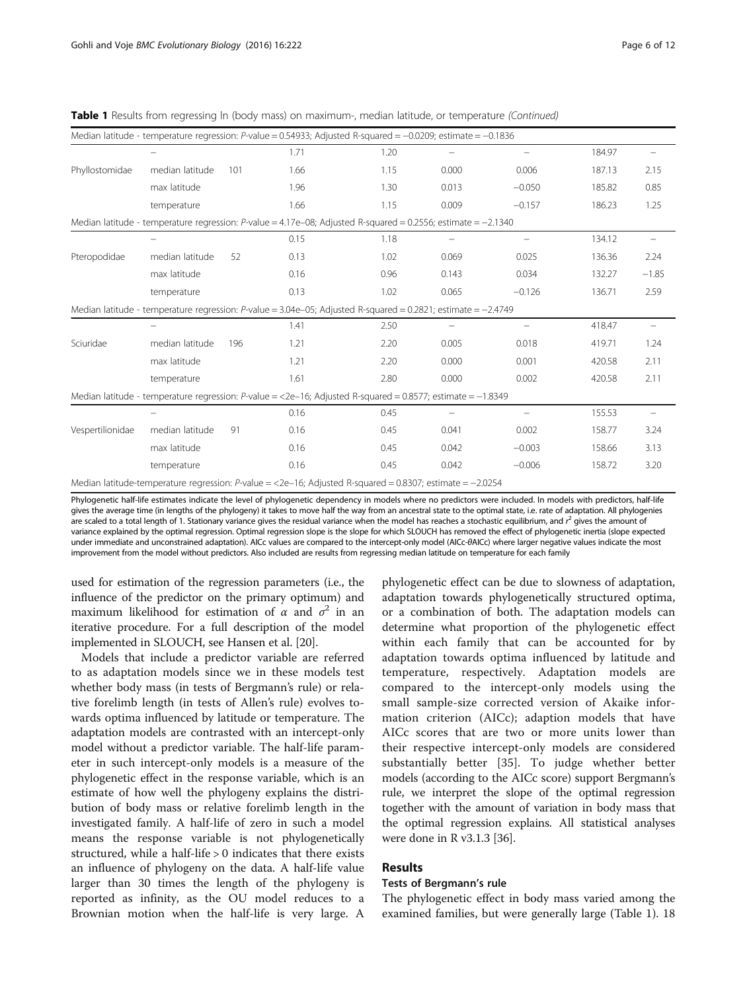Table 1 Results from regressing In (body mass) on maximum-, median latitude, or temperature (Continued)

|                                                                                                                       |                 |     | Median latitude - temperature regression: $P$ -value = 0.54933; Adjusted R-squared = $-0.0209$ ; estimate = $-0.1836$ |      |       |                          |        |                          |
|-----------------------------------------------------------------------------------------------------------------------|-----------------|-----|-----------------------------------------------------------------------------------------------------------------------|------|-------|--------------------------|--------|--------------------------|
|                                                                                                                       |                 |     | 1.71                                                                                                                  | 1.20 |       |                          | 184.97 |                          |
| Phyllostomidae                                                                                                        | median latitude | 101 | 1.66                                                                                                                  | 1.15 | 0.000 | 0.006                    | 187.13 | 2.15                     |
|                                                                                                                       | max latitude    |     | 1.96                                                                                                                  | 1.30 | 0.013 | $-0.050$                 | 185.82 | 0.85                     |
|                                                                                                                       | temperature     |     | 1.66                                                                                                                  | 1.15 | 0.009 | $-0.157$                 | 186.23 | 1.25                     |
|                                                                                                                       |                 |     | Median latitude - temperature regression: P-value = $4.17e-08$ ; Adjusted R-squared = 0.2556; estimate = $-2.1340$    |      |       |                          |        |                          |
|                                                                                                                       |                 |     | 0.15                                                                                                                  | 1.18 |       | $\overline{\phantom{0}}$ | 134.12 | $\overline{\phantom{0}}$ |
| Pteropodidae                                                                                                          | median latitude | 52  | 0.13                                                                                                                  | 1.02 | 0.069 | 0.025                    | 136.36 | 2.24                     |
|                                                                                                                       | max latitude    |     | 0.16                                                                                                                  | 0.96 | 0.143 | 0.034                    | 132.27 | $-1.85$                  |
|                                                                                                                       | temperature     |     | 0.13                                                                                                                  | 1.02 | 0.065 | $-0.126$                 | 136.71 | 2.59                     |
| Median latitude - temperature regression: P-value = $3.04e-05$ ; Adjusted R-squared = $0.2821$ ; estimate = $-2.4749$ |                 |     |                                                                                                                       |      |       |                          |        |                          |
|                                                                                                                       |                 |     | 1.41                                                                                                                  | 2.50 |       |                          | 418.47 |                          |
| Sciuridae                                                                                                             | median latitude | 196 | 1.21                                                                                                                  | 2.20 | 0.005 | 0.018                    | 419.71 | 1.24                     |
|                                                                                                                       | max latitude    |     | 1.21                                                                                                                  | 2.20 | 0.000 | 0.001                    | 420.58 | 2.11                     |
|                                                                                                                       | temperature     |     | 1.61                                                                                                                  | 2.80 | 0.000 | 0.002                    | 420.58 | 2.11                     |
|                                                                                                                       |                 |     | Median latitude - temperature regression: $P$ -value = <2e-16; Adjusted R-squared = 0.8577; estimate = -1.8349        |      |       |                          |        |                          |
|                                                                                                                       |                 |     | 0.16                                                                                                                  | 0.45 |       |                          | 155.53 |                          |
| Vespertilionidae                                                                                                      | median latitude | 91  | 0.16                                                                                                                  | 0.45 | 0.041 | 0.002                    | 158.77 | 3.24                     |
|                                                                                                                       | max latitude    |     | 0.16                                                                                                                  | 0.45 | 0.042 | $-0.003$                 | 158.66 | 3.13                     |
|                                                                                                                       | temperature     |     | 0.16                                                                                                                  | 0.45 | 0.042 | $-0.006$                 | 158.72 | 3.20                     |
|                                                                                                                       |                 |     | Median latitude-temperature regression: P-value = <2e-16; Adjusted R-squared = 0.8307; estimate = -2.0254             |      |       |                          |        |                          |

Phylogenetic half-life estimates indicate the level of phylogenetic dependency in models where no predictors were included. In models with predictors, half-life gives the average time (in lengths of the phylogeny) it takes to move half the way from an ancestral state to the optimal state, i.e. rate of adaptation. All phylogenies are scaled to a total length of 1. Stationary variance gives the residual variance when the model has reaches a stochastic equilibrium, and r<sup>2</sup> gives the amount of<br>variance explained by the ontimal regression. Ontimal reg variance explained by the optimal regression. Optimal regression slope is the slope for which SLOUCH has removed the effect of phylogenetic inertia (slope expected under immediate and unconstrained adaptation). AICc values are compared to the intercept-only model (AICc-θAICc) where larger negative values indicate the most improvement from the model without predictors. Also included are results from regressing median latitude on temperature for each family

used for estimation of the regression parameters (i.e., the influence of the predictor on the primary optimum) and maximum likelihood for estimation of  $\alpha$  and  $\sigma^2$  in an iterative procedure. For a full description of the model implemented in SLOUCH, see Hansen et al. [[20](#page-11-0)].

Models that include a predictor variable are referred to as adaptation models since we in these models test whether body mass (in tests of Bergmann's rule) or relative forelimb length (in tests of Allen's rule) evolves towards optima influenced by latitude or temperature. The adaptation models are contrasted with an intercept-only model without a predictor variable. The half-life parameter in such intercept-only models is a measure of the phylogenetic effect in the response variable, which is an estimate of how well the phylogeny explains the distribution of body mass or relative forelimb length in the investigated family. A half-life of zero in such a model means the response variable is not phylogenetically structured, while a half-life > 0 indicates that there exists an influence of phylogeny on the data. A half-life value larger than 30 times the length of the phylogeny is reported as infinity, as the OU model reduces to a Brownian motion when the half-life is very large. A phylogenetic effect can be due to slowness of adaptation, adaptation towards phylogenetically structured optima, or a combination of both. The adaptation models can determine what proportion of the phylogenetic effect within each family that can be accounted for by adaptation towards optima influenced by latitude and temperature, respectively. Adaptation models are compared to the intercept-only models using the small sample-size corrected version of Akaike information criterion (AICc); adaption models that have AICc scores that are two or more units lower than their respective intercept-only models are considered substantially better [[35\]](#page-11-0). To judge whether better models (according to the AICc score) support Bergmann's rule, we interpret the slope of the optimal regression together with the amount of variation in body mass that the optimal regression explains. All statistical analyses were done in R v3.1.3 [\[36](#page-11-0)].

## Results

## Tests of Bergmann's rule

The phylogenetic effect in body mass varied among the examined families, but were generally large (Table [1](#page-3-0)). 18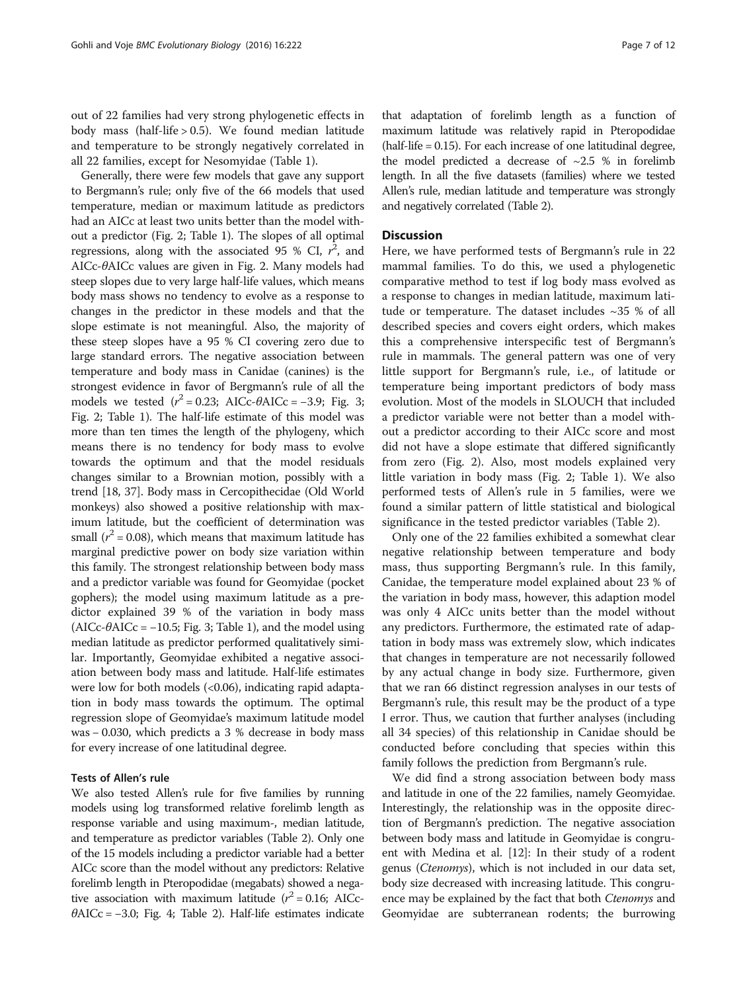out of 22 families had very strong phylogenetic effects in body mass (half-life > 0.5). We found median latitude and temperature to be strongly negatively correlated in all 22 families, except for Nesomyidae (Table [1](#page-3-0)).

Generally, there were few models that gave any support to Bergmann's rule; only five of the 66 models that used temperature, median or maximum latitude as predictors had an AICc at least two units better than the model without a predictor (Fig. [2](#page-8-0); Table [1](#page-3-0)). The slopes of all optimal regressions, along with the associated 95 % CI,  $r^2$ , and AICc-θAICc values are given in Fig. [2.](#page-8-0) Many models had steep slopes due to very large half-life values, which means body mass shows no tendency to evolve as a response to changes in the predictor in these models and that the slope estimate is not meaningful. Also, the majority of these steep slopes have a 95 % CI covering zero due to large standard errors. The negative association between temperature and body mass in Canidae (canines) is the strongest evidence in favor of Bergmann's rule of all the models we tested  $(r^2 = 0.23;$  AICc- $\theta$ AICc = -3.9; Fig. [3](#page-8-0); Fig. [2;](#page-8-0) Table [1](#page-3-0)). The half-life estimate of this model was more than ten times the length of the phylogeny, which means there is no tendency for body mass to evolve towards the optimum and that the model residuals changes similar to a Brownian motion, possibly with a trend [\[18](#page-11-0), [37](#page-11-0)]. Body mass in Cercopithecidae (Old World monkeys) also showed a positive relationship with maximum latitude, but the coefficient of determination was small ( $r^2$  = 0.08), which means that maximum latitude has marginal predictive power on body size variation within this family. The strongest relationship between body mass and a predictor variable was found for Geomyidae (pocket gophers); the model using maximum latitude as a predictor explained 39 % of the variation in body mass (AICc- $\theta$ AICc = -10.5; Fig. [3;](#page-8-0) Table [1](#page-3-0)), and the model using median latitude as predictor performed qualitatively similar. Importantly, Geomyidae exhibited a negative association between body mass and latitude. Half-life estimates were low for both models (<0.06), indicating rapid adaptation in body mass towards the optimum. The optimal regression slope of Geomyidae's maximum latitude model was − 0.030, which predicts a 3 % decrease in body mass for every increase of one latitudinal degree.

## Tests of Allen's rule

We also tested Allen's rule for five families by running models using log transformed relative forelimb length as response variable and using maximum-, median latitude, and temperature as predictor variables (Table [2](#page-9-0)). Only one of the 15 models including a predictor variable had a better AICc score than the model without any predictors: Relative forelimb length in Pteropodidae (megabats) showed a negative association with maximum latitude  $(r^2 = 0.16;$  AICc- $\theta$ AICc = -3.0; Fig. [4;](#page-10-0) Table [2](#page-9-0)). Half-life estimates indicate

that adaptation of forelimb length as a function of maximum latitude was relatively rapid in Pteropodidae (half-life = 0.15). For each increase of one latitudinal degree, the model predicted a decrease of  $\sim$ 2.5 % in forelimb length. In all the five datasets (families) where we tested Allen's rule, median latitude and temperature was strongly and negatively correlated (Table [2](#page-9-0)).

### **Discussion**

Here, we have performed tests of Bergmann's rule in 22 mammal families. To do this, we used a phylogenetic comparative method to test if log body mass evolved as a response to changes in median latitude, maximum latitude or temperature. The dataset includes ~35 % of all described species and covers eight orders, which makes this a comprehensive interspecific test of Bergmann's rule in mammals. The general pattern was one of very little support for Bergmann's rule, i.e., of latitude or temperature being important predictors of body mass evolution. Most of the models in SLOUCH that included a predictor variable were not better than a model without a predictor according to their AICc score and most did not have a slope estimate that differed significantly from zero (Fig. [2\)](#page-8-0). Also, most models explained very little variation in body mass (Fig. [2](#page-8-0); Table [1](#page-3-0)). We also performed tests of Allen's rule in 5 families, were we found a similar pattern of little statistical and biological significance in the tested predictor variables (Table [2](#page-9-0)).

Only one of the 22 families exhibited a somewhat clear negative relationship between temperature and body mass, thus supporting Bergmann's rule. In this family, Canidae, the temperature model explained about 23 % of the variation in body mass, however, this adaption model was only 4 AICc units better than the model without any predictors. Furthermore, the estimated rate of adaptation in body mass was extremely slow, which indicates that changes in temperature are not necessarily followed by any actual change in body size. Furthermore, given that we ran 66 distinct regression analyses in our tests of Bergmann's rule, this result may be the product of a type I error. Thus, we caution that further analyses (including all 34 species) of this relationship in Canidae should be conducted before concluding that species within this family follows the prediction from Bergmann's rule.

We did find a strong association between body mass and latitude in one of the 22 families, namely Geomyidae. Interestingly, the relationship was in the opposite direction of Bergmann's prediction. The negative association between body mass and latitude in Geomyidae is congruent with Medina et al. [\[12\]](#page-11-0): In their study of a rodent genus (Ctenomys), which is not included in our data set, body size decreased with increasing latitude. This congruence may be explained by the fact that both *Ctenomys* and Geomyidae are subterranean rodents; the burrowing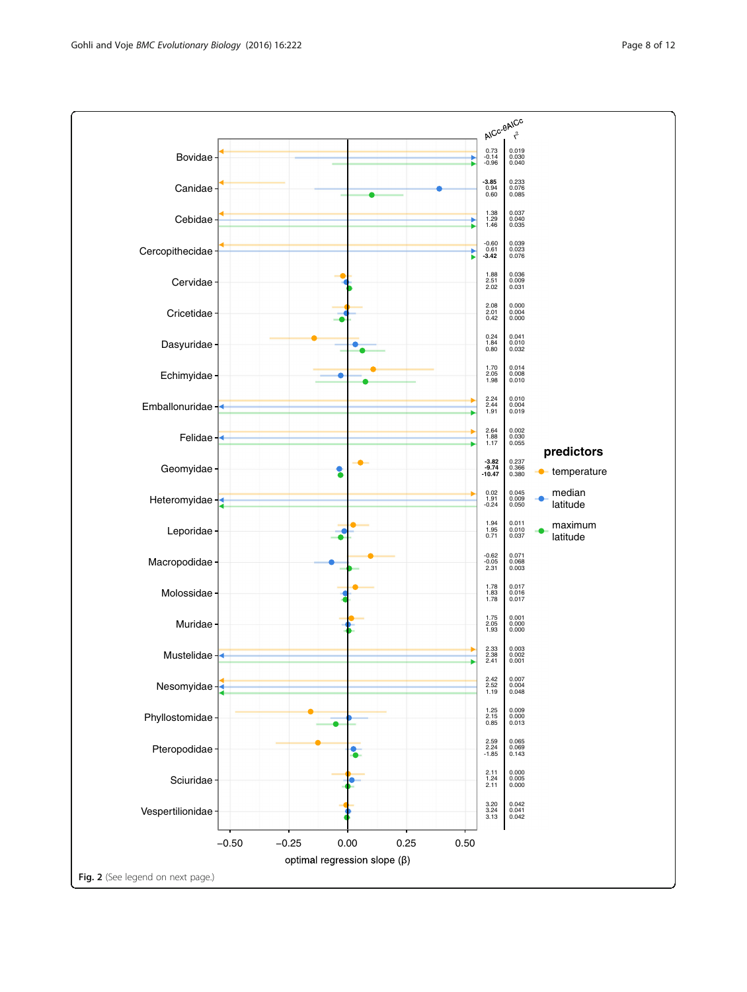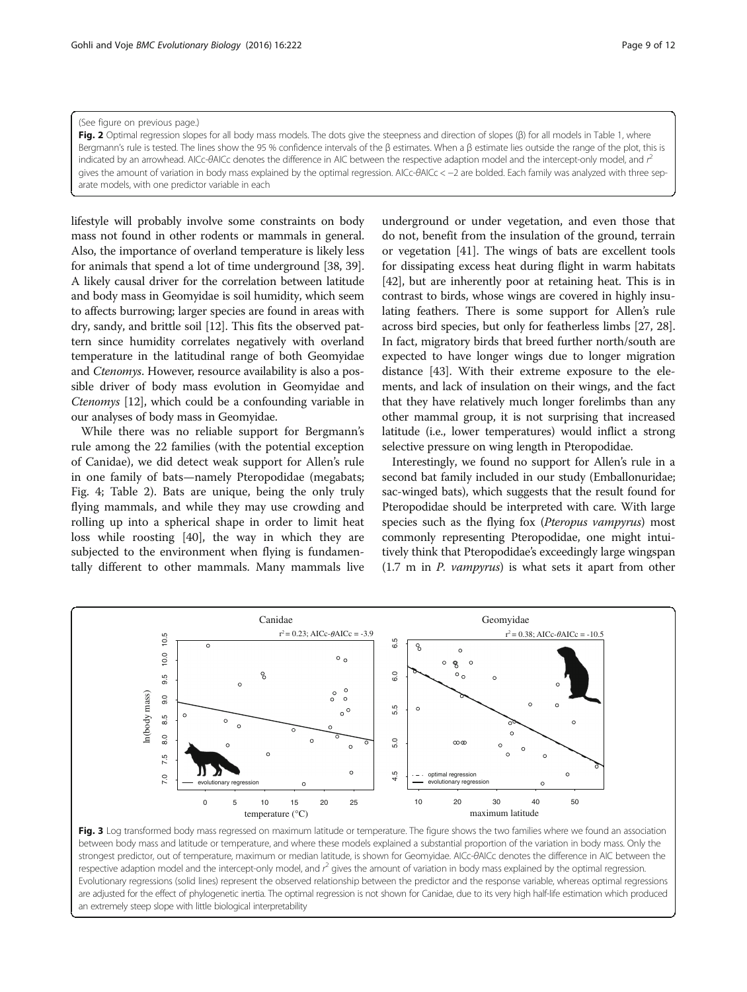#### <span id="page-8-0"></span>(See figure on previous page.)

Fig. 2 Optimal regression slopes for all body mass models. The dots give the steepness and direction of slopes (β) for all models in Table [1](#page-3-0), where Bergmann's rule is tested. The lines show the 95 % confidence intervals of the β estimates. When a β estimate lies outside the range of the plot, this is indicated by an arrowhead. AICc-θAICc denotes the difference in AIC between the respective adaption model and the intercept-only model, and  $r^2$ gives the amount of variation in body mass explained by the optimal regression. AICc-θAICc < −2 are bolded. Each family was analyzed with three separate models, with one predictor variable in each

lifestyle will probably involve some constraints on body mass not found in other rodents or mammals in general. Also, the importance of overland temperature is likely less for animals that spend a lot of time underground [\[38, 39](#page-11-0)]. A likely causal driver for the correlation between latitude and body mass in Geomyidae is soil humidity, which seem to affects burrowing; larger species are found in areas with dry, sandy, and brittle soil [[12](#page-11-0)]. This fits the observed pattern since humidity correlates negatively with overland temperature in the latitudinal range of both Geomyidae and Ctenomys. However, resource availability is also a possible driver of body mass evolution in Geomyidae and Ctenomys [\[12\]](#page-11-0), which could be a confounding variable in our analyses of body mass in Geomyidae.

While there was no reliable support for Bergmann's rule among the 22 families (with the potential exception of Canidae), we did detect weak support for Allen's rule in one family of bats—namely Pteropodidae (megabats; Fig. [4;](#page-10-0) Table [2\)](#page-9-0). Bats are unique, being the only truly flying mammals, and while they may use crowding and rolling up into a spherical shape in order to limit heat loss while roosting [\[40](#page-11-0)], the way in which they are subjected to the environment when flying is fundamentally different to other mammals. Many mammals live

underground or under vegetation, and even those that do not, benefit from the insulation of the ground, terrain or vegetation [[41\]](#page-11-0). The wings of bats are excellent tools for dissipating excess heat during flight in warm habitats [[42](#page-11-0)], but are inherently poor at retaining heat. This is in contrast to birds, whose wings are covered in highly insulating feathers. There is some support for Allen's rule across bird species, but only for featherless limbs [\[27, 28](#page-11-0)]. In fact, migratory birds that breed further north/south are expected to have longer wings due to longer migration distance [\[43](#page-11-0)]. With their extreme exposure to the elements, and lack of insulation on their wings, and the fact that they have relatively much longer forelimbs than any other mammal group, it is not surprising that increased latitude (i.e., lower temperatures) would inflict a strong selective pressure on wing length in Pteropodidae.

Interestingly, we found no support for Allen's rule in a second bat family included in our study (Emballonuridae; sac-winged bats), which suggests that the result found for Pteropodidae should be interpreted with care. With large species such as the flying fox (Pteropus vampyrus) most commonly representing Pteropodidae, one might intuitively think that Pteropodidae's exceedingly large wingspan (1.7 m in P. vampyrus) is what sets it apart from other



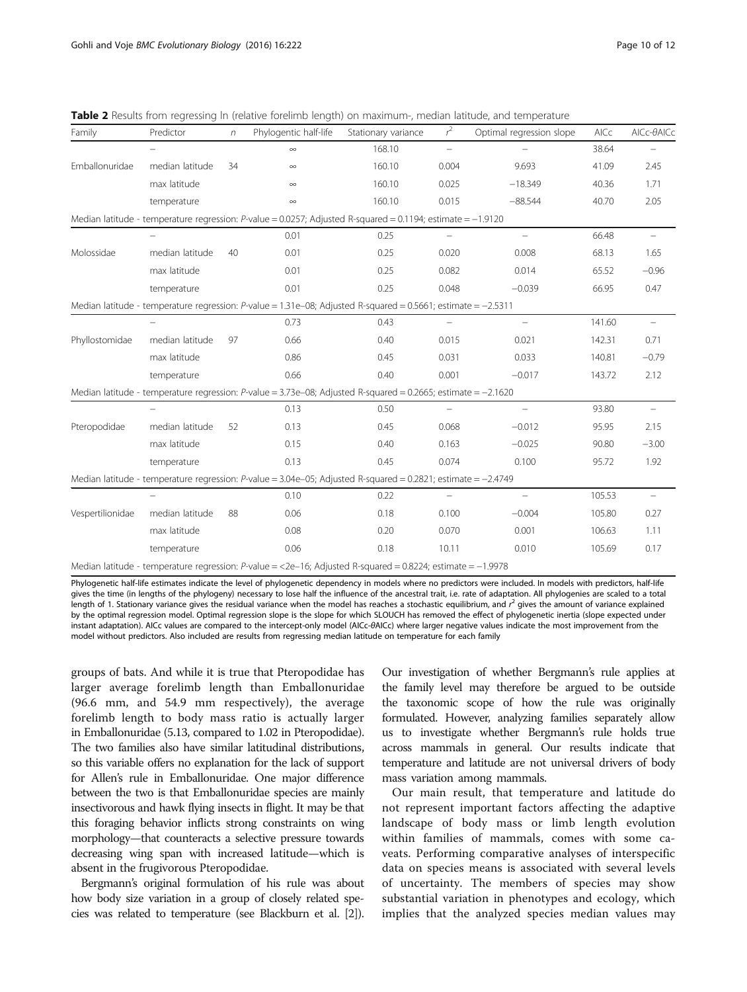<span id="page-9-0"></span>

|  | Table 2 Results from regressing In (relative forelimb length) on maximum-, median latitude, and temperature |  |  |
|--|-------------------------------------------------------------------------------------------------------------|--|--|
|  |                                                                                                             |  |  |

| Family           | Predictor       | n  | Phylogentic half-life                                                                                              | Stationary variance | $r^2$             | Optimal regression slope | AICc   | AICc-OAICc               |
|------------------|-----------------|----|--------------------------------------------------------------------------------------------------------------------|---------------------|-------------------|--------------------------|--------|--------------------------|
|                  |                 |    | $\infty$                                                                                                           | 168.10              | $\qquad \qquad -$ |                          | 38.64  |                          |
| Emballonuridae   | median latitude | 34 | $\infty$                                                                                                           | 160.10              | 0.004             | 9.693                    | 41.09  | 2.45                     |
|                  | max latitude    |    | $\infty$                                                                                                           | 160.10              | 0.025             | $-18.349$                | 40.36  | 1.71                     |
|                  | temperature     |    | $\infty$                                                                                                           | 160.10              | 0.015             | $-88.544$                | 40.70  | 2.05                     |
|                  |                 |    | Median latitude - temperature regression: P-value = 0.0257; Adjusted R-squared = 0.1194; estimate = -1.9120        |                     |                   |                          |        |                          |
|                  |                 |    | 0.01                                                                                                               | 0.25                |                   | $\overline{\phantom{0}}$ | 66.48  |                          |
| Molossidae       | median latitude | 40 | 0.01                                                                                                               | 0.25                | 0.020             | 0.008                    | 68.13  | 1.65                     |
|                  | max latitude    |    | 0.01                                                                                                               | 0.25                | 0.082             | 0.014                    | 65.52  | $-0.96$                  |
|                  | temperature     |    | 0.01                                                                                                               | 0.25                | 0.048             | $-0.039$                 | 66.95  | 0.47                     |
|                  |                 |    | Median latitude - temperature regression: $P$ -value = 1.31e-08; Adjusted R-squared = 0.5661; estimate = -2.5311   |                     |                   |                          |        |                          |
|                  |                 |    | 0.73                                                                                                               | 0.43                | $\qquad \qquad -$ | $\qquad \qquad -$        | 141.60 | $\overline{\phantom{0}}$ |
| Phyllostomidae   | median latitude | 97 | 0.66                                                                                                               | 0.40                | 0.015             | 0.021                    | 142.31 | 0.71                     |
|                  | max latitude    |    | 0.86                                                                                                               | 0.45                | 0.031             | 0.033                    | 140.81 | $-0.79$                  |
|                  | temperature     |    | 0.66                                                                                                               | 0.40                | 0.001             | $-0.017$                 | 143.72 | 2.12                     |
|                  |                 |    | Median latitude - temperature regression: $P$ -value = 3.73e-08; Adjusted R-squared = 0.2665; estimate = -2.1620   |                     |                   |                          |        |                          |
|                  |                 |    | 0.13                                                                                                               | 0.50                |                   |                          | 93.80  | $\overline{\phantom{a}}$ |
| Pteropodidae     | median latitude | 52 | 0.13                                                                                                               | 0.45                | 0.068             | $-0.012$                 | 95.95  | 2.15                     |
|                  | max latitude    |    | 0.15                                                                                                               | 0.40                | 0.163             | $-0.025$                 | 90.80  | $-3.00$                  |
|                  | temperature     |    | 0.13                                                                                                               | 0.45                | 0.074             | 0.100                    | 95.72  | 1.92                     |
|                  |                 |    | Median latitude - temperature regression: P-value = $3.04e-05$ ; Adjusted R-squared = 0.2821; estimate = $-2.4749$ |                     |                   |                          |        |                          |
|                  |                 |    | 0.10                                                                                                               | 0.22                |                   |                          | 105.53 |                          |
| Vespertilionidae | median latitude | 88 | 0.06                                                                                                               | 0.18                | 0.100             | $-0.004$                 | 105.80 | 0.27                     |
|                  | max latitude    |    | 0.08                                                                                                               | 0.20                | 0.070             | 0.001                    | 106.63 | 1.11                     |
|                  | temperature     |    | 0.06                                                                                                               | 0.18                | 10.11             | 0.010                    | 105.69 | 0.17                     |
|                  |                 |    | Median latitude - temperature regression: $P$ -value = <2e-16; Adjusted R-squared = 0.8224; estimate = -1.9978     |                     |                   |                          |        |                          |

Phylogenetic half-life estimates indicate the level of phylogenetic dependency in models where no predictors were included. In models with predictors, half-life gives the time (in lengths of the phylogeny) necessary to lose half the influence of the ancestral trait, i.e. rate of adaptation. All phylogenies are scaled to a total length of 1. Stationary variance gives the residual variance when the model has reaches a stochastic equilibrium, and  $r^2$  gives the amount of variance explained<br>by the optimal regression model. Optimal regression slope by the optimal regression model. Optimal regression slope is the slope for which SLOUCH has removed the effect of phylogenetic inertia (slope expected under instant adaptation). AICc values are compared to the intercept-only model (AICc-θAICc) where larger negative values indicate the most improvement from the model without predictors. Also included are results from regressing median latitude on temperature for each family

groups of bats. And while it is true that Pteropodidae has larger average forelimb length than Emballonuridae (96.6 mm, and 54.9 mm respectively), the average forelimb length to body mass ratio is actually larger in Emballonuridae (5.13, compared to 1.02 in Pteropodidae). The two families also have similar latitudinal distributions, so this variable offers no explanation for the lack of support for Allen's rule in Emballonuridae. One major difference between the two is that Emballonuridae species are mainly insectivorous and hawk flying insects in flight. It may be that this foraging behavior inflicts strong constraints on wing morphology—that counteracts a selective pressure towards decreasing wing span with increased latitude—which is absent in the frugivorous Pteropodidae.

Bergmann's original formulation of his rule was about how body size variation in a group of closely related species was related to temperature (see Blackburn et al. [\[2\]](#page-10-0)). Our investigation of whether Bergmann's rule applies at the family level may therefore be argued to be outside the taxonomic scope of how the rule was originally formulated. However, analyzing families separately allow us to investigate whether Bergmann's rule holds true across mammals in general. Our results indicate that temperature and latitude are not universal drivers of body mass variation among mammals.

Our main result, that temperature and latitude do not represent important factors affecting the adaptive landscape of body mass or limb length evolution within families of mammals, comes with some caveats. Performing comparative analyses of interspecific data on species means is associated with several levels of uncertainty. The members of species may show substantial variation in phenotypes and ecology, which implies that the analyzed species median values may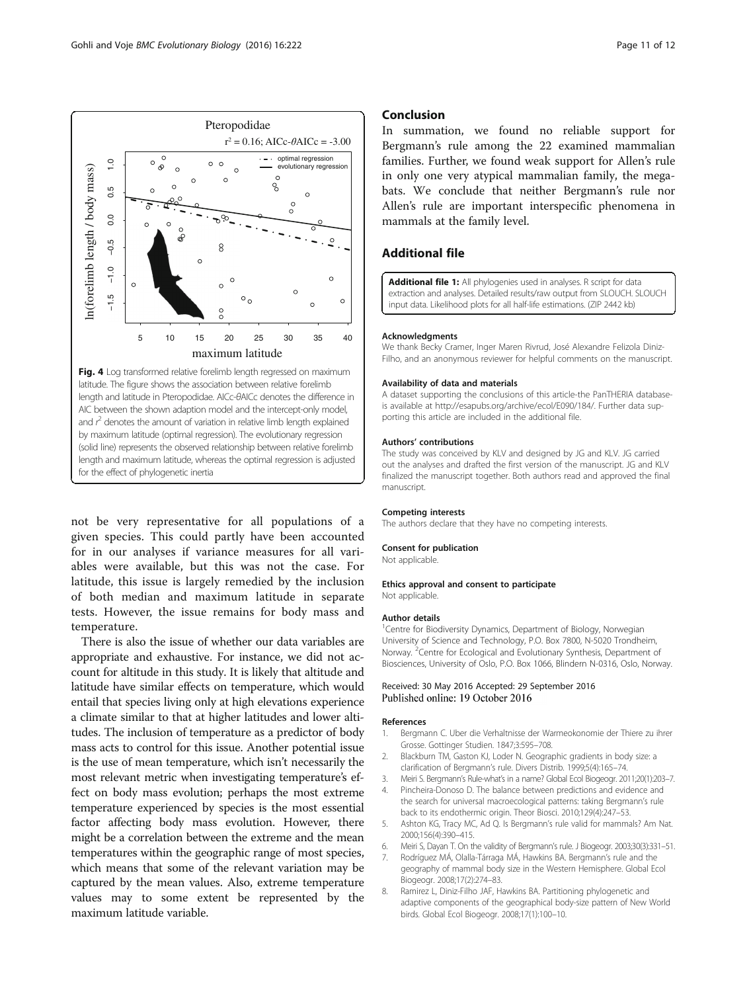<span id="page-10-0"></span>

not be very representative for all populations of a given species. This could partly have been accounted for in our analyses if variance measures for all variables were available, but this was not the case. For latitude, this issue is largely remedied by the inclusion of both median and maximum latitude in separate tests. However, the issue remains for body mass and temperature.

There is also the issue of whether our data variables are appropriate and exhaustive. For instance, we did not account for altitude in this study. It is likely that altitude and latitude have similar effects on temperature, which would entail that species living only at high elevations experience a climate similar to that at higher latitudes and lower altitudes. The inclusion of temperature as a predictor of body mass acts to control for this issue. Another potential issue is the use of mean temperature, which isn't necessarily the most relevant metric when investigating temperature's effect on body mass evolution; perhaps the most extreme temperature experienced by species is the most essential factor affecting body mass evolution. However, there might be a correlation between the extreme and the mean temperatures within the geographic range of most species, which means that some of the relevant variation may be captured by the mean values. Also, extreme temperature values may to some extent be represented by the maximum latitude variable.

## Conclusion

In summation, we found no reliable support for Bergmann's rule among the 22 examined mammalian families. Further, we found weak support for Allen's rule in only one very atypical mammalian family, the megabats. We conclude that neither Bergmann's rule nor Allen's rule are important interspecific phenomena in mammals at the family level.

## Additional file

[Additional file 1:](dx.doi.org/10.1186/s12862-016-0778-x) All phylogenies used in analyses. R script for data extraction and analyses. Detailed results/raw output from SLOUCH. SLOUCH input data. Likelihood plots for all half-life estimations. (ZIP 2442 kb)

#### Acknowledgments

We thank Becky Cramer, Inger Maren Rivrud, José Alexandre Felizola Diniz-Filho, and an anonymous reviewer for helpful comments on the manuscript.

#### Availability of data and materials

A dataset supporting the conclusions of this article-the PanTHERIA databaseis available at [http://esapubs.org/archive/ecol/E090/184/.](http://esapubs.org/archive/ecol/E090/184/) Further data supporting this article are included in the additional file.

#### Authors' contributions

The study was conceived by KLV and designed by JG and KLV. JG carried out the analyses and drafted the first version of the manuscript. JG and KLV finalized the manuscript together. Both authors read and approved the final manuscript.

#### Competing interests

The authors declare that they have no competing interests.

#### Consent for publication

Not applicable.

#### Ethics approval and consent to participate Not applicable.

#### Author details

<sup>1</sup> Centre for Biodiversity Dynamics, Department of Biology, Norwegian University of Science and Technology, P.O. Box 7800, N-5020 Trondheim, Norway. <sup>2</sup> Centre for Ecological and Evolutionary Synthesis, Department of Biosciences, University of Oslo, P.O. Box 1066, Blindern N-0316, Oslo, Norway.

#### Received: 30 May 2016 Accepted: 29 September 2016 Published online: 19 October 2016

#### References

- 1. Bergmann C. Uber die Verhaltnisse der Warmeokonomie der Thiere zu ihrer Grosse. Gottinger Studien. 1847;3:595–708.
- 2. Blackburn TM, Gaston KJ, Loder N. Geographic gradients in body size: a clarification of Bergmann's rule. Divers Distrib. 1999;5(4):165–74.
- 3. Meiri S. Bergmann's Rule-what's in a name? Global Ecol Biogeogr. 2011;20(1):203–7.
- 4. Pincheira-Donoso D. The balance between predictions and evidence and the search for universal macroecological patterns: taking Bergmann's rule back to its endothermic origin. Theor Biosci. 2010;129(4):247–53.
- 5. Ashton KG, Tracy MC, Ad Q. Is Bergmann's rule valid for mammals? Am Nat. 2000;156(4):390–415.
- 6. Meiri S, Dayan T. On the validity of Bergmann's rule. J Biogeogr. 2003;30(3):331–51.
- 7. Rodríguez MÁ, Olalla-Tárraga MÁ, Hawkins BA. Bergmann's rule and the geography of mammal body size in the Western Hemisphere. Global Ecol Biogeogr. 2008;17(2):274–83.
- 8. Ramirez L, Diniz-Filho JAF, Hawkins BA. Partitioning phylogenetic and adaptive components of the geographical body-size pattern of New World birds. Global Ecol Biogeogr. 2008;17(1):100–10.